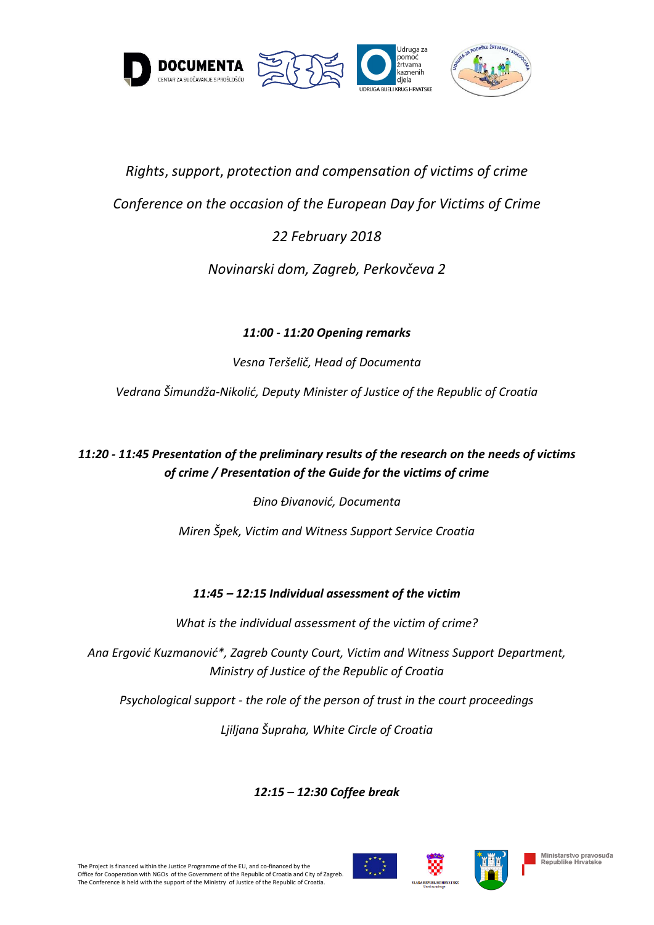

# *Rights*, *support*, *protection and compensation of victims of crime Conference on the occasion of the European Day for Victims of Crime 22 February 2018*

# *Novinarski dom, Zagreb, Perkovčeva 2*

*11:00 - 11:20 Opening remarks* 

*Vesna Teršelič, Head of Documenta*

*Vedrana Šimundža-Nikolić, Deputy Minister of Justice of the Republic of Croatia*

*11:20 - 11:45 Presentation of the preliminary results of the research on the needs of victims of crime / Presentation of the Guide for the victims of crime*

*Đino Đivanović, Documenta*

*Miren Špek, Victim and Witness Support Service Croatia*

## *11:45 – 12:15 Individual assessment of the victim*

*What is the individual assessment of the victim of crime?*

*Ana Ergović Kuzmanović\*, Zagreb County Court, Victim and Witness Support Department, Ministry of Justice of the Republic of Croatia*

*Psychological support - the role of the person of trust in the court proceedings*

*Ljiljana Šupraha, White Circle of Croatia*

*12:15 – 12:30 Coffee break*